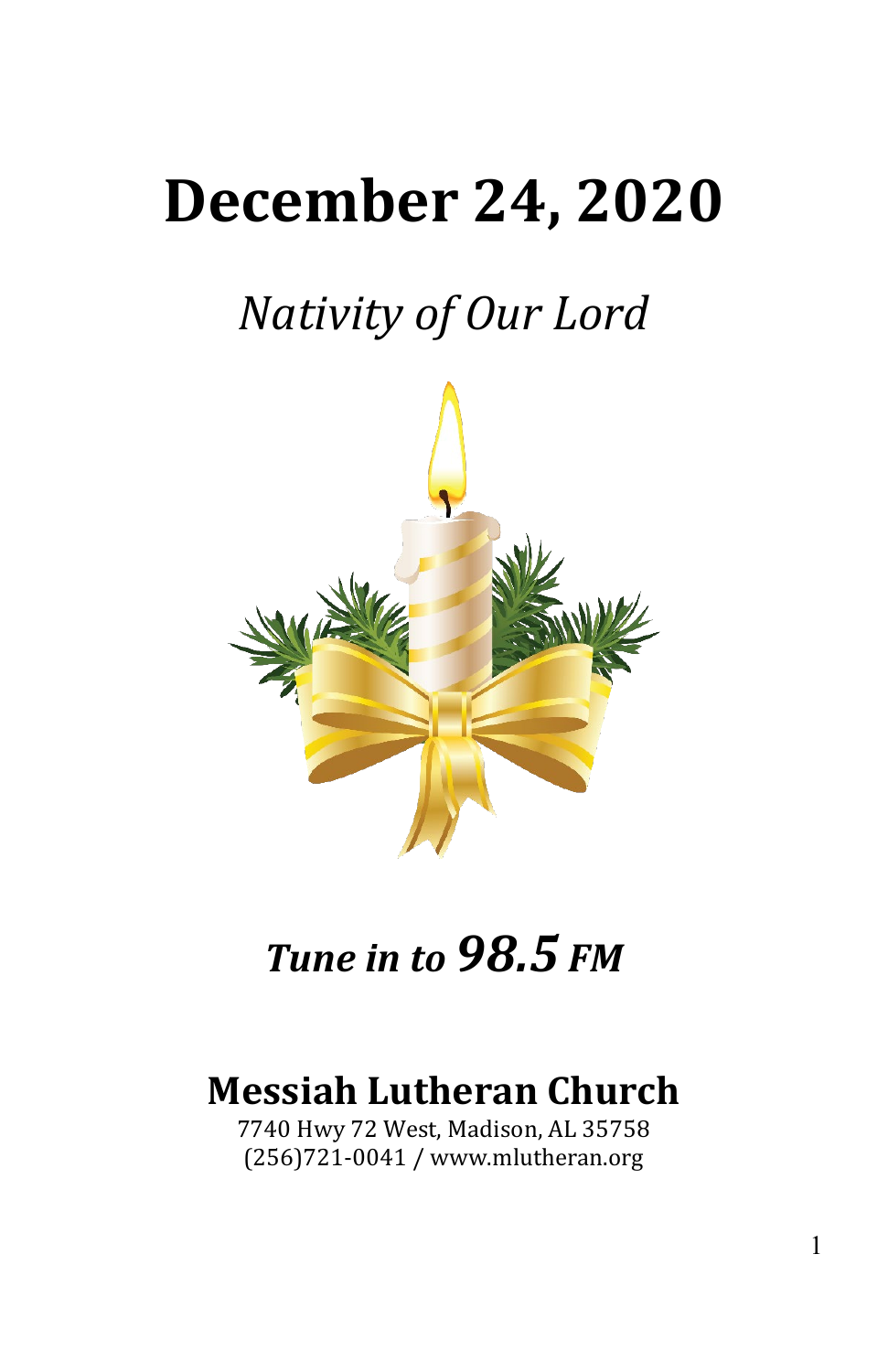# **December 24, 2020**

# *Nativity of Our Lord*



## *Tune in to 98.5 FM*

### **Messiah Lutheran Church**

7740 Hwy 72 West, Madison, AL 35758 (256)721-0041 / www.mlutheran.org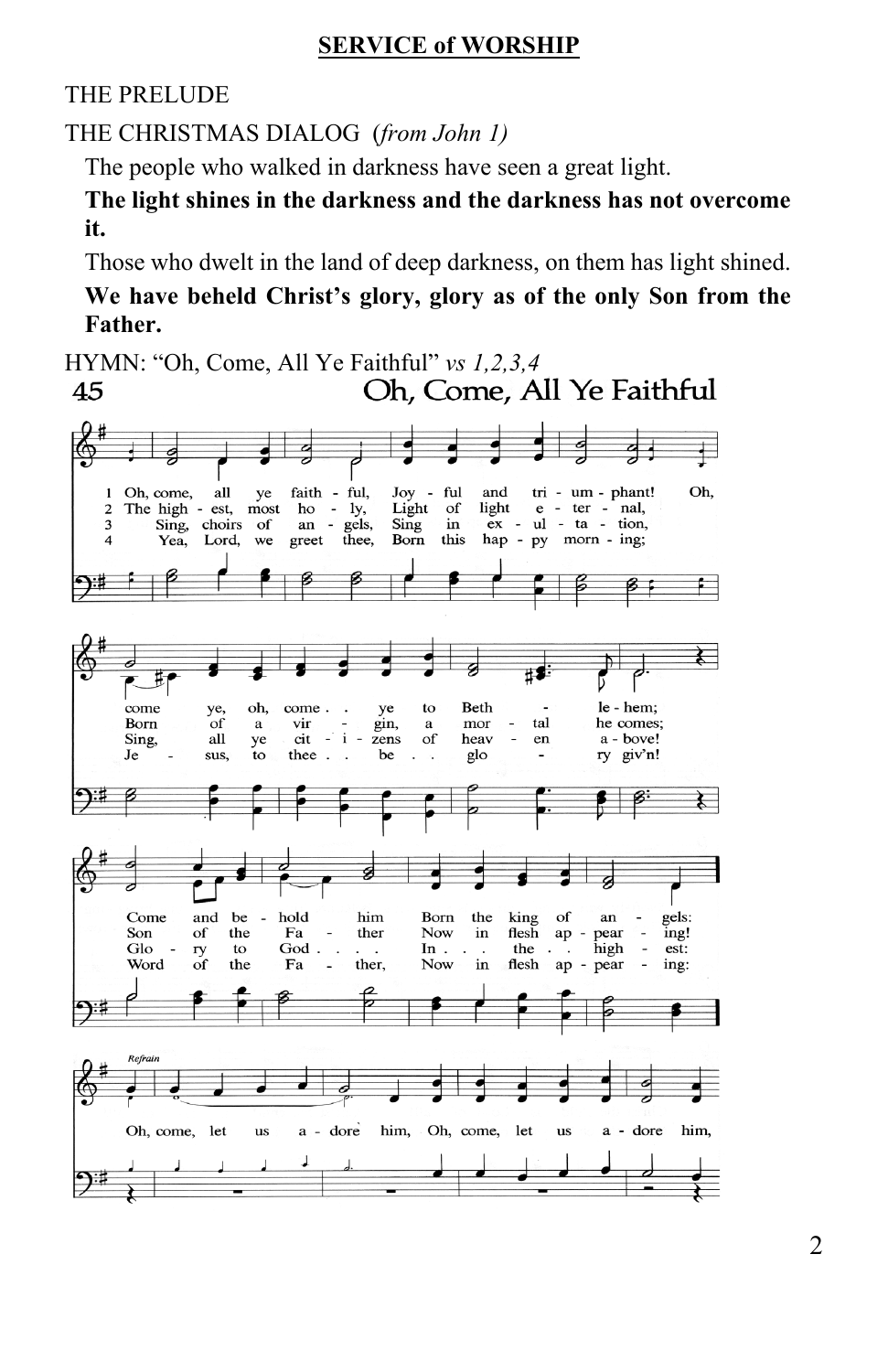#### **SERVICE of WORSHIP**

THE PRELUDE

THE CHRISTMAS DIALOG (*from John 1)*

The people who walked in darkness have seen a great light.

**The light shines in the darkness and the darkness has not overcome it.**

Those who dwelt in the land of deep darkness, on them has light shined.

**We have beheld Christ's glory, glory as of the only Son from the Father.**

HYMN: "Oh, Come, All Ye Faithful" *vs 1,2,3,4*<br>45 **Oh, Come, All Ye Faithful** 45

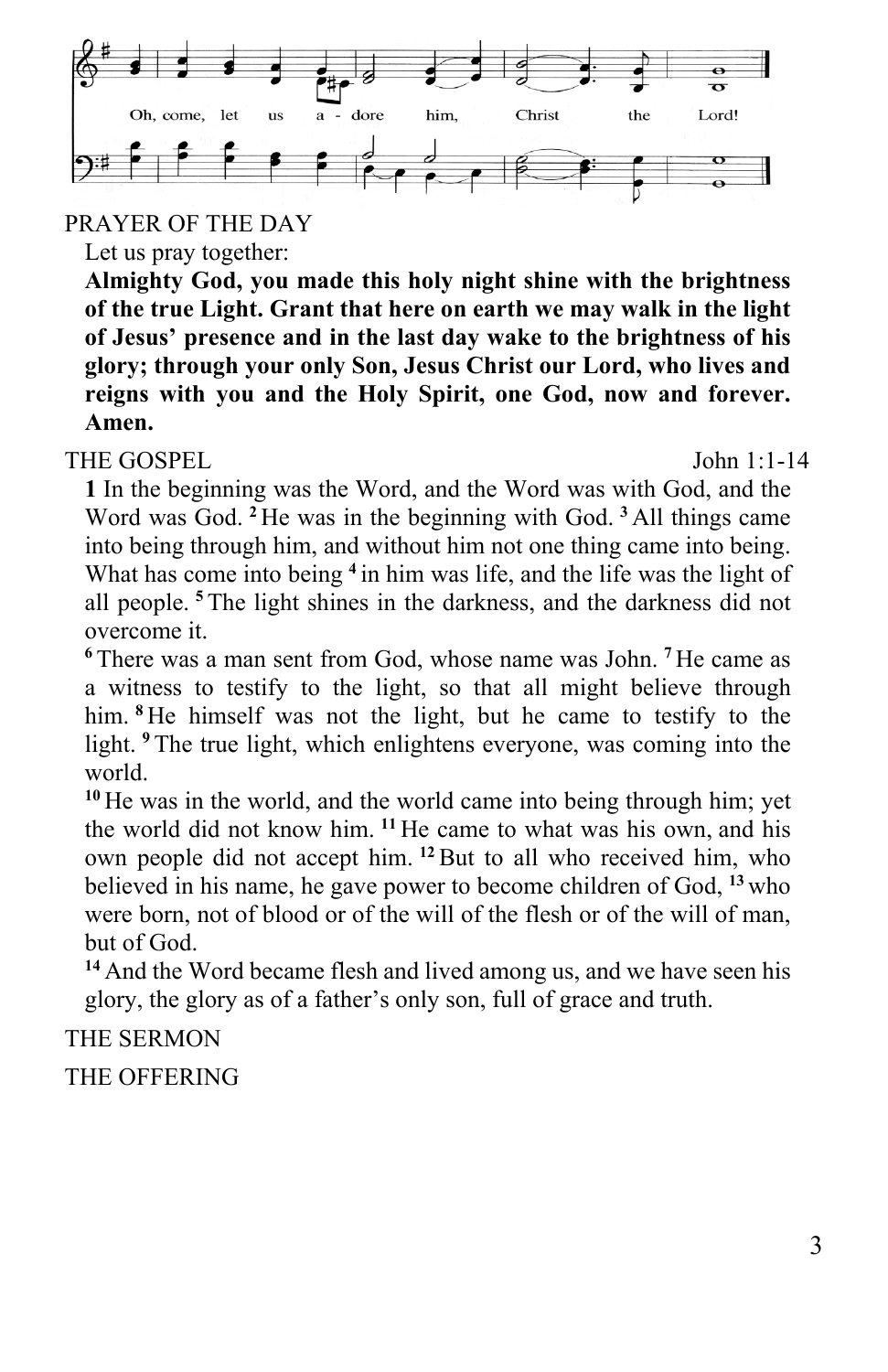

PRAYER OF THE DAY

Let us pray together:

**Almighty God, you made this holy night shine with the brightness of the true Light. Grant that here on earth we may walk in the light of Jesus' presence and in the last day wake to the brightness of his glory; through your only Son, Jesus Christ our Lord, who lives and reigns with you and the Holy Spirit, one God, now and forever. Amen.**

THE GOSPEL John 1:1-14

**1** In the beginning was the Word, and the Word was with God, and the Word was God. **<sup>2</sup>** He was in the beginning with God. **<sup>3</sup>** All things came into being through him, and without him not one thing came into being. What has come into being <sup>4</sup> in him was life, and the life was the light of all people. **<sup>5</sup>** The light shines in the darkness, and the darkness did not overcome it.

**<sup>6</sup>** There was a man sent from God, whose name was John. **<sup>7</sup>** He came as a witness to testify to the light, so that all might believe through him. <sup>8</sup> He himself was not the light, but he came to testify to the light. **<sup>9</sup>** The true light, which enlightens everyone, was coming into the world.

**<sup>10</sup>** He was in the world, and the world came into being through him; yet the world did not know him. **<sup>11</sup>** He came to what was his own, and his own people did not accept him. **<sup>12</sup>**But to all who received him, who believed in his name, he gave power to become children of God, **<sup>13</sup>** who were born, not of blood or of the will of the flesh or of the will of man, but of God.

**<sup>14</sup>** And the Word became flesh and lived among us, and we have seen his glory, the glory as of a father's only son, full of grace and truth.

#### THE SERMON

THE OFFERING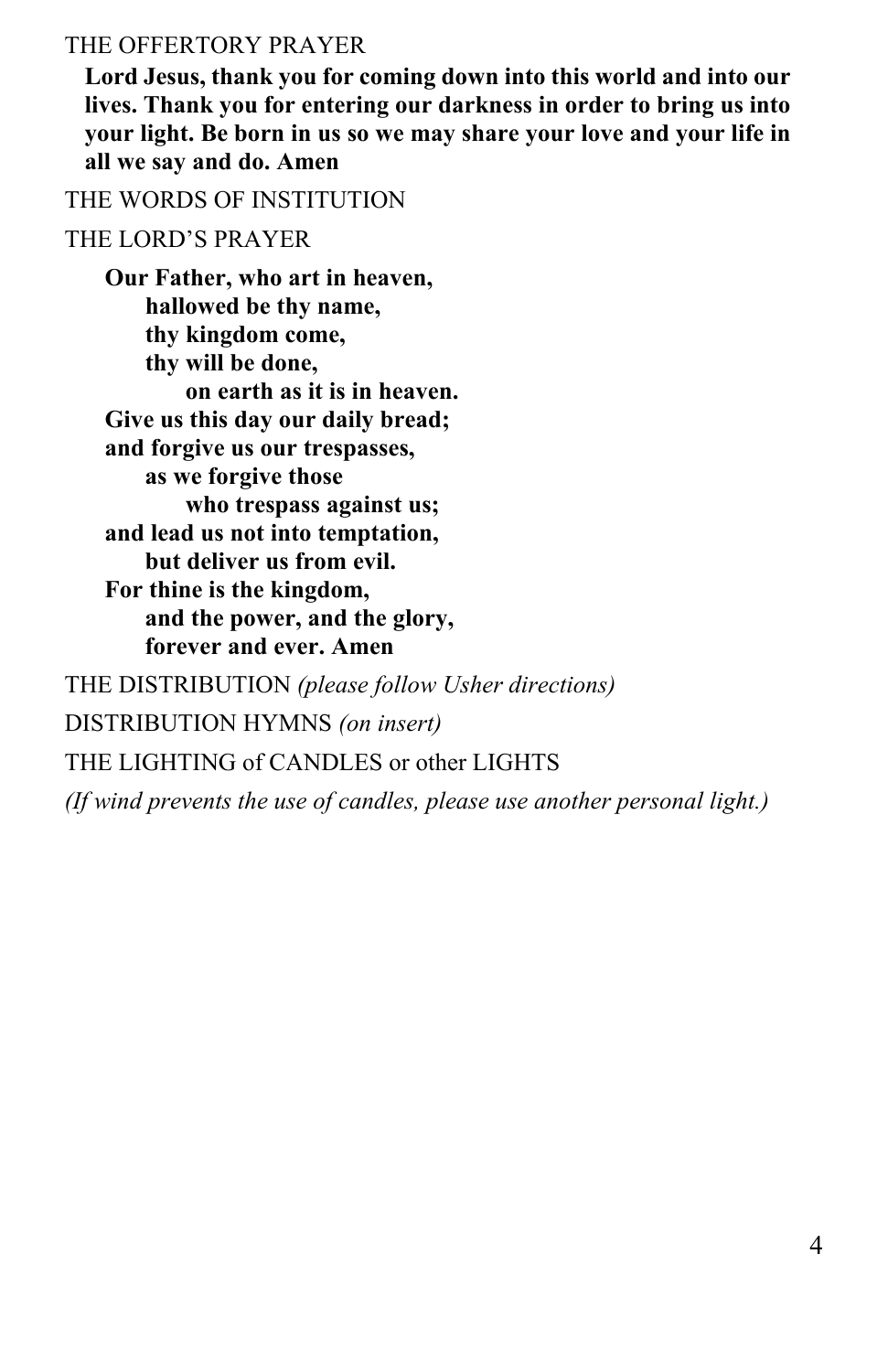#### THE OFFERTORY PRAYER

**Lord Jesus, thank you for coming down into this world and into our lives. Thank you for entering our darkness in order to bring us into your light. Be born in us so we may share your love and your life in all we say and do. Amen**

THE WORDS OF INSTITUTION

#### THE LORD'S PRAYER

**Our Father, who art in heaven, hallowed be thy name, thy kingdom come, thy will be done, on earth as it is in heaven. Give us this day our daily bread; and forgive us our trespasses, as we forgive those who trespass against us; and lead us not into temptation, but deliver us from evil. For thine is the kingdom, and the power, and the glory, forever and ever. Amen** THE DISTRIBUTION *(please follow Usher directions)* DISTRIBUTION HYMNS *(on insert)* THE LIGHTING of CANDLES or other LIGHTS *(If wind prevents the use of candles, please use another personal light.)*